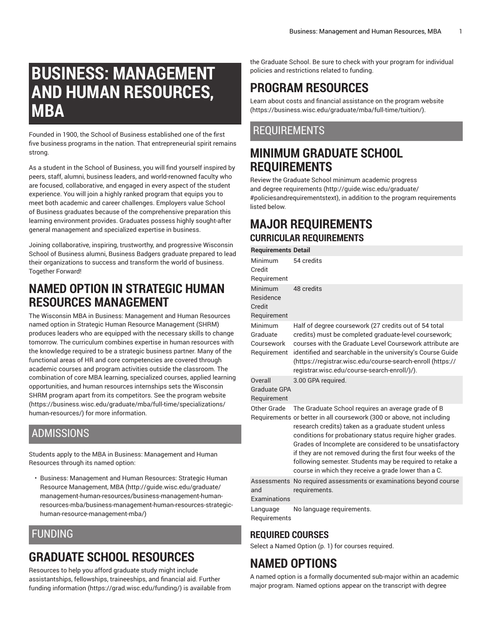# **BUSINESS: MANAGEMENT AND HUMAN RESOURCES, MBA**

Founded in 1900, the School of Business established one of the first five business programs in the nation. That entrepreneurial spirit remains strong.

As a student in the School of Business, you will find yourself inspired by peers, staff, alumni, business leaders, and world-renowned faculty who are focused, collaborative, and engaged in every aspect of the student experience. You will join a highly ranked program that equips you to meet both academic and career challenges. Employers value School of Business graduates because of the comprehensive preparation this learning environment provides. Graduates possess highly sought-after general management and specialized expertise in business.

Joining collaborative, inspiring, trustworthy, and progressive Wisconsin School of Business alumni, Business Badgers graduate prepared to lead their organizations to success and transform the world of business. Together Forward!

# **NAMED OPTION IN STRATEGIC HUMAN RESOURCES MANAGEMENT**

The Wisconsin MBA in Business: Management and Human Resources named option in Strategic Human Resource Management (SHRM) produces leaders who are equipped with the necessary skills to change tomorrow. The curriculum combines expertise in human resources with the knowledge required to be a strategic business partner. Many of the functional areas of HR and core competencies are covered through academic courses and program activities outside the classroom. The combination of core MBA learning, specialized courses, applied learning opportunities, and human resources internships sets the Wisconsin SHRM program apart from its competitors. See the [program](https://business.wisc.edu/graduate/mba/full-time/specializations/human-resources/) website ([https://business.wisc.edu/graduate/mba/full-time/specializations/](https://business.wisc.edu/graduate/mba/full-time/specializations/human-resources/) [human-resources/\)](https://business.wisc.edu/graduate/mba/full-time/specializations/human-resources/) for more information.

#### ADMISSIONS

Students apply to the MBA in Business: Management and Human Resources through its named option:

• Business: [Management](http://guide.wisc.edu/graduate/management-human-resources/business-management-human-resources-mba/business-management-human-resources-strategic-human-resource-management-mba/) and Human Resources: Strategic Human Resource [Management,](http://guide.wisc.edu/graduate/management-human-resources/business-management-human-resources-mba/business-management-human-resources-strategic-human-resource-management-mba/) MBA [\(http://guide.wisc.edu/graduate/](http://guide.wisc.edu/graduate/management-human-resources/business-management-human-resources-mba/business-management-human-resources-strategic-human-resource-management-mba/) [management-human-resources/business-management-human](http://guide.wisc.edu/graduate/management-human-resources/business-management-human-resources-mba/business-management-human-resources-strategic-human-resource-management-mba/)[resources-mba/business-management-human-resources-strategic](http://guide.wisc.edu/graduate/management-human-resources/business-management-human-resources-mba/business-management-human-resources-strategic-human-resource-management-mba/)[human-resource-management-mba/\)](http://guide.wisc.edu/graduate/management-human-resources/business-management-human-resources-mba/business-management-human-resources-strategic-human-resource-management-mba/)

### FUNDING

# **GRADUATE SCHOOL RESOURCES**

Resources to help you afford graduate study might include assistantships, fellowships, traineeships, and financial aid. [Further](https://grad.wisc.edu/funding/) [funding information](https://grad.wisc.edu/funding/) ([https://grad.wisc.edu/funding/\)](https://grad.wisc.edu/funding/) is available from the Graduate School. Be sure to check with your program for individual policies and restrictions related to funding.

# **PROGRAM RESOURCES**

Learn about costs and financial assistance on the [program](https://business.wisc.edu/graduate/mba/full-time/tuition/) website [\(https://business.wisc.edu/graduate/mba/full-time/tuition/](https://business.wisc.edu/graduate/mba/full-time/tuition/)).

### REQUIREMENTS

# **MINIMUM GRADUATE SCHOOL REQUIREMENTS**

Review the Graduate School minimum [academic](http://guide.wisc.edu/graduate/#policiesandrequirementstext) progress and degree [requirements \(http://guide.wisc.edu/graduate/](http://guide.wisc.edu/graduate/#policiesandrequirementstext) [#policiesandrequirementstext\)](http://guide.wisc.edu/graduate/#policiesandrequirementstext), in addition to the program requirements listed below.

### **MAJOR REQUIREMENTS CURRICULAR REQUIREMENTS**

| <b>Requirements Detail</b>                       |                                                                                                                                                                                                                                                                                                                                                                                                                                                                                                |
|--------------------------------------------------|------------------------------------------------------------------------------------------------------------------------------------------------------------------------------------------------------------------------------------------------------------------------------------------------------------------------------------------------------------------------------------------------------------------------------------------------------------------------------------------------|
| Minimum<br>Credit<br>Requirement                 | 54 credits                                                                                                                                                                                                                                                                                                                                                                                                                                                                                     |
| Minimum<br>Residence<br>Credit<br>Requirement    | 48 credits                                                                                                                                                                                                                                                                                                                                                                                                                                                                                     |
| Minimum<br>Graduate<br>Coursework<br>Requirement | Half of degree coursework (27 credits out of 54 total<br>credits) must be completed graduate-level coursework;<br>courses with the Graduate Level Coursework attribute are<br>identified and searchable in the university's Course Guide<br>(https://registrar.wisc.edu/course-search-enroll (https://<br>registrar.wisc.edu/course-search-enroll/)/).                                                                                                                                         |
| Overall<br>Graduate GPA<br>Requirement           | 3.00 GPA required.                                                                                                                                                                                                                                                                                                                                                                                                                                                                             |
| Other Grade                                      | The Graduate School requires an average grade of B<br>Requirements or better in all coursework (300 or above, not including<br>research credits) taken as a graduate student unless<br>conditions for probationary status require higher grades.<br>Grades of Incomplete are considered to be unsatisfactory<br>if they are not removed during the first four weeks of the<br>following semester. Students may be required to retake a<br>course in which they receive a grade lower than a C. |
| and<br>Examinations                              | Assessments No required assessments or examinations beyond course<br>requirements.                                                                                                                                                                                                                                                                                                                                                                                                             |

Language **Requirements** No language requirements.

#### **REQUIRED COURSES**

<span id="page-0-0"></span>Select a [Named Option](#page-0-0) ([p. 1\)](#page-0-0) for courses required.

# **NAMED OPTIONS**

A named option is a formally documented sub-major within an academic major program. Named options appear on the transcript with degree